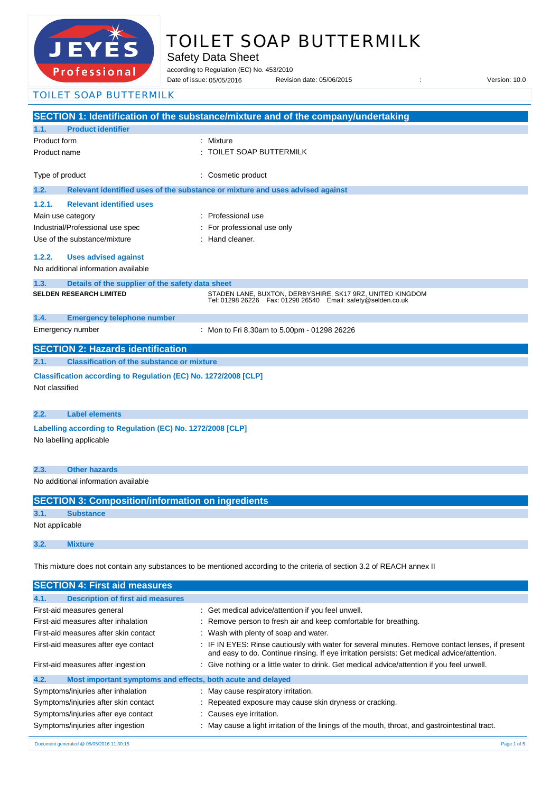

# TOILET SOAP BUTTERMILK

Safety Data Sheet

according to Regulation (EC) No. 453/2010

Date of issue: Revision date: 05/06/2015 : Version: 10.0 Date of issue: 05/05/2016

TOILET SOAP BUTTERMILK

|                                                                                                                         |                                                                 | SECTION 1: Identification of the substance/mixture and of the company/undertaking                                               |  |
|-------------------------------------------------------------------------------------------------------------------------|-----------------------------------------------------------------|---------------------------------------------------------------------------------------------------------------------------------|--|
| 1.1.                                                                                                                    | <b>Product identifier</b>                                       |                                                                                                                                 |  |
| Product form                                                                                                            |                                                                 | : Mixture                                                                                                                       |  |
| Product name                                                                                                            |                                                                 | TOILET SOAP BUTTERMILK                                                                                                          |  |
|                                                                                                                         |                                                                 |                                                                                                                                 |  |
| Type of product                                                                                                         |                                                                 | Cosmetic product                                                                                                                |  |
| 1.2.                                                                                                                    |                                                                 | Relevant identified uses of the substance or mixture and uses advised against                                                   |  |
| 1.2.1.                                                                                                                  | <b>Relevant identified uses</b>                                 |                                                                                                                                 |  |
| Main use category                                                                                                       |                                                                 | Professional use                                                                                                                |  |
|                                                                                                                         | Industrial/Professional use spec                                | For professional use only                                                                                                       |  |
|                                                                                                                         | Use of the substance/mixture                                    | : Hand cleaner.                                                                                                                 |  |
|                                                                                                                         |                                                                 |                                                                                                                                 |  |
| 1.2.2.                                                                                                                  | <b>Uses advised against</b>                                     |                                                                                                                                 |  |
|                                                                                                                         | No additional information available                             |                                                                                                                                 |  |
| 1.3.                                                                                                                    | Details of the supplier of the safety data sheet                |                                                                                                                                 |  |
|                                                                                                                         | SELDEN RESEARCH LIMITED                                         | STADEN LANE, BUXTON, DERBYSHIRE, SK17 9RZ, UNITED KINGDOM<br>Tel: 01298 26226    Fax: 01298 26540    Email: safety@selden.co.uk |  |
| 1.4.                                                                                                                    | <b>Emergency telephone number</b>                               |                                                                                                                                 |  |
|                                                                                                                         | Emergency number                                                | : Mon to Fri 8.30am to 5.00pm - 01298 26226                                                                                     |  |
|                                                                                                                         | <b>SECTION 2: Hazards identification</b>                        |                                                                                                                                 |  |
| 2.1.                                                                                                                    | <b>Classification of the substance or mixture</b>               |                                                                                                                                 |  |
|                                                                                                                         | Classification according to Regulation (EC) No. 1272/2008 [CLP] |                                                                                                                                 |  |
| Not classified                                                                                                          |                                                                 |                                                                                                                                 |  |
|                                                                                                                         |                                                                 |                                                                                                                                 |  |
| 2.2.                                                                                                                    | <b>Label elements</b>                                           |                                                                                                                                 |  |
|                                                                                                                         | Labelling according to Regulation (EC) No. 1272/2008 [CLP]      |                                                                                                                                 |  |
|                                                                                                                         | No labelling applicable                                         |                                                                                                                                 |  |
|                                                                                                                         |                                                                 |                                                                                                                                 |  |
|                                                                                                                         |                                                                 |                                                                                                                                 |  |
| 2.3.                                                                                                                    | <b>Other hazards</b>                                            |                                                                                                                                 |  |
|                                                                                                                         | No additional information available                             |                                                                                                                                 |  |
|                                                                                                                         | <b>SECTION 3: Composition/information on ingredients</b>        |                                                                                                                                 |  |
| 3.1.                                                                                                                    | <b>Substance</b>                                                |                                                                                                                                 |  |
| Not applicable                                                                                                          |                                                                 |                                                                                                                                 |  |
| 3.2.                                                                                                                    | <b>Mixture</b>                                                  |                                                                                                                                 |  |
|                                                                                                                         |                                                                 |                                                                                                                                 |  |
| This mixture does not contain any substances to be mentioned according to the criteria of section 3.2 of REACH annex II |                                                                 |                                                                                                                                 |  |
|                                                                                                                         | <b>SECTION 4: First aid measures</b>                            |                                                                                                                                 |  |
| 4.1.                                                                                                                    | <b>Description of first aid measures</b>                        |                                                                                                                                 |  |
|                                                                                                                         | First-aid measures general                                      | : Get medical advice/attention if you feel unwell.                                                                              |  |

| First-aid measures after inhalation                                 | : Remove person to fresh air and keep comfortable for breathing.                                                                                                                                |  |  |
|---------------------------------------------------------------------|-------------------------------------------------------------------------------------------------------------------------------------------------------------------------------------------------|--|--|
| First-aid measures after skin contact                               | : Wash with plenty of soap and water.                                                                                                                                                           |  |  |
| First-aid measures after eye contact                                | : IF IN EYES: Rinse cautiously with water for several minutes. Remove contact lenses, if present<br>and easy to do. Continue rinsing. If eye irritation persists: Get medical advice/attention. |  |  |
| First-aid measures after ingestion                                  | : Give nothing or a little water to drink. Get medical advice/attention if you feel unwell.                                                                                                     |  |  |
| 4.2.<br>Most important symptoms and effects, both acute and delayed |                                                                                                                                                                                                 |  |  |
| Symptoms/injuries after inhalation                                  | : May cause respiratory irritation.                                                                                                                                                             |  |  |
| Symptoms/injuries after skin contact                                | : Repeated exposure may cause skin dryness or cracking.                                                                                                                                         |  |  |
| Symptoms/injuries after eye contact                                 | : Causes eye irritation.                                                                                                                                                                        |  |  |
| Symptoms/injuries after ingestion                                   | : May cause a light irritation of the linings of the mouth, throat, and gastrointestinal tract.                                                                                                 |  |  |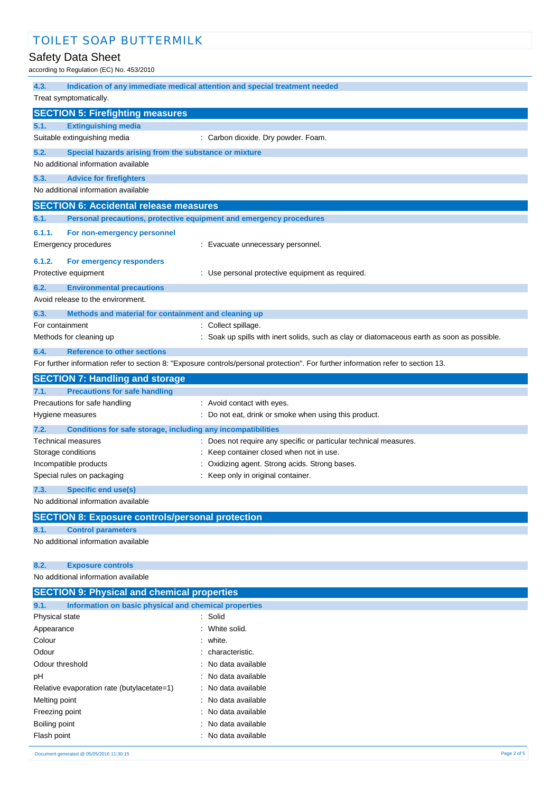# Safety Data Sheet

 $P = 24$ <br> $(EC)$  No. 453/2010

| according to Regulation (EC) No. 453/2010                            |                                                                                                                                   |  |  |  |
|----------------------------------------------------------------------|-----------------------------------------------------------------------------------------------------------------------------------|--|--|--|
| 4.3.                                                                 | Indication of any immediate medical attention and special treatment needed                                                        |  |  |  |
| Treat symptomatically.                                               |                                                                                                                                   |  |  |  |
| <b>SECTION 5: Firefighting measures</b>                              |                                                                                                                                   |  |  |  |
| <b>Extinguishing media</b><br>5.1.                                   |                                                                                                                                   |  |  |  |
| Suitable extinguishing media                                         | : Carbon dioxide. Dry powder. Foam.                                                                                               |  |  |  |
|                                                                      |                                                                                                                                   |  |  |  |
| 5.2.<br>Special hazards arising from the substance or mixture        |                                                                                                                                   |  |  |  |
| No additional information available                                  |                                                                                                                                   |  |  |  |
| 5.3.<br><b>Advice for firefighters</b>                               |                                                                                                                                   |  |  |  |
| No additional information available                                  |                                                                                                                                   |  |  |  |
| <b>SECTION 6: Accidental release measures</b>                        |                                                                                                                                   |  |  |  |
| 6.1.                                                                 | Personal precautions, protective equipment and emergency procedures                                                               |  |  |  |
| 6.1.1.<br>For non-emergency personnel                                |                                                                                                                                   |  |  |  |
| <b>Emergency procedures</b>                                          | : Evacuate unnecessary personnel.                                                                                                 |  |  |  |
| 6.1.2.                                                               |                                                                                                                                   |  |  |  |
| For emergency responders                                             |                                                                                                                                   |  |  |  |
| Protective equipment                                                 | : Use personal protective equipment as required.                                                                                  |  |  |  |
| 6.2.<br><b>Environmental precautions</b>                             |                                                                                                                                   |  |  |  |
| Avoid release to the environment.                                    |                                                                                                                                   |  |  |  |
| 6.3.<br>Methods and material for containment and cleaning up         |                                                                                                                                   |  |  |  |
| For containment                                                      | : Collect spillage.                                                                                                               |  |  |  |
| Methods for cleaning up                                              | : Soak up spills with inert solids, such as clay or diatomaceous earth as soon as possible.                                       |  |  |  |
| 6.4.<br><b>Reference to other sections</b>                           |                                                                                                                                   |  |  |  |
|                                                                      | For further information refer to section 8: "Exposure controls/personal protection". For further information refer to section 13. |  |  |  |
| <b>SECTION 7: Handling and storage</b>                               |                                                                                                                                   |  |  |  |
| <b>Precautions for safe handling</b><br>7.1.                         |                                                                                                                                   |  |  |  |
| Precautions for safe handling                                        | : Avoid contact with eyes.                                                                                                        |  |  |  |
| Hygiene measures                                                     | : Do not eat, drink or smoke when using this product.                                                                             |  |  |  |
| 7.2.<br>Conditions for safe storage, including any incompatibilities |                                                                                                                                   |  |  |  |
| Technical measures                                                   | : Does not require any specific or particular technical measures.                                                                 |  |  |  |
| Storage conditions                                                   | Keep container closed when not in use.                                                                                            |  |  |  |
| Incompatible products                                                | Oxidizing agent. Strong acids. Strong bases.                                                                                      |  |  |  |
| Special rules on packaging                                           | Keep only in original container.                                                                                                  |  |  |  |
| <b>Specific end use(s)</b><br>7.3.                                   |                                                                                                                                   |  |  |  |
| No additional information available                                  |                                                                                                                                   |  |  |  |
|                                                                      |                                                                                                                                   |  |  |  |
| <b>SECTION 8: Exposure controls/personal protection</b>              |                                                                                                                                   |  |  |  |
| 8.1.<br><b>Control parameters</b>                                    |                                                                                                                                   |  |  |  |
| No additional information available                                  |                                                                                                                                   |  |  |  |
|                                                                      |                                                                                                                                   |  |  |  |
| 8.2.<br><b>Exposure controls</b>                                     |                                                                                                                                   |  |  |  |
| No additional information available                                  |                                                                                                                                   |  |  |  |
| <b>SECTION 9: Physical and chemical properties</b>                   |                                                                                                                                   |  |  |  |
| 9.1.<br>Information on basic physical and chemical properties        |                                                                                                                                   |  |  |  |
| Physical state                                                       | : Solid                                                                                                                           |  |  |  |
| Appearance                                                           | White solid.                                                                                                                      |  |  |  |
| Colour                                                               | white.                                                                                                                            |  |  |  |
| Odour                                                                | characteristic.                                                                                                                   |  |  |  |
| Odour threshold                                                      | No data available                                                                                                                 |  |  |  |
| рH                                                                   | No data available                                                                                                                 |  |  |  |
| Relative evaporation rate (butylacetate=1)                           | No data available                                                                                                                 |  |  |  |
| Melting point                                                        | No data available                                                                                                                 |  |  |  |
| Freezing point                                                       | No data available                                                                                                                 |  |  |  |
| Boiling point                                                        | No data available                                                                                                                 |  |  |  |
| Flash point                                                          | No data available                                                                                                                 |  |  |  |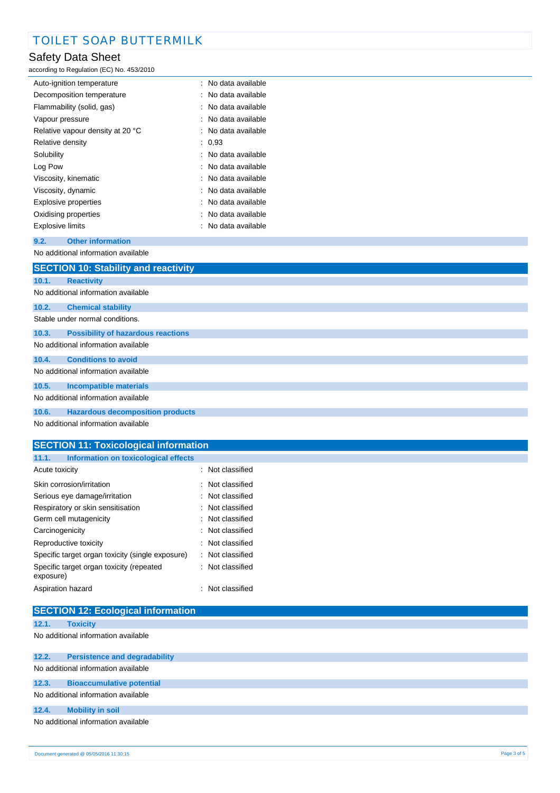### Safety Data Sheet

according to Regulation (EC) No. 453/2010

| Auto-ignition temperature        | : No data available   |
|----------------------------------|-----------------------|
| Decomposition temperature        | : No data available   |
| Flammability (solid, gas)        | :   No data available |
| Vapour pressure                  | : No data available   |
| Relative vapour density at 20 °C | : No data available   |
| Relative density                 | : 0.93                |
| Solubility                       | : No data available   |
| Log Pow                          | : No data available   |
| Viscosity, kinematic             | : No data available   |
| Viscosity, dynamic               | : No data available   |
| Explosive properties             | : No data available   |
| Oxidising properties             | : No data available   |
| Explosive limits                 | : No data available   |

#### **9.2. Other information** No additional information available

|                                     | <b>SECTION 10: Stability and reactivity</b> |
|-------------------------------------|---------------------------------------------|
|                                     |                                             |
| 10.1.                               | <b>Reactivity</b>                           |
|                                     | No additional information available         |
| 10.2.                               | <b>Chemical stability</b>                   |
| Stable under normal conditions.     |                                             |
| 10.3.                               | <b>Possibility of hazardous reactions</b>   |
|                                     | No additional information available         |
| 10.4.                               | <b>Conditions to avoid</b>                  |
| No additional information available |                                             |
| 10.5.                               | <b>Incompatible materials</b>               |
| No additional information available |                                             |
| 10.6.                               | <b>Hazardous decomposition products</b>     |
|                                     | No additional information available         |

# **SECTION 11: Toxicological information 11.1. Information on toxicological effects**

| Acute toxicity                                        | : Not classified            |
|-------------------------------------------------------|-----------------------------|
| Skin corrosion/irritation                             | : Not classified            |
| Serious eye damage/irritation                         | $\therefore$ Not classified |
| Respiratory or skin sensitisation                     | $\therefore$ Not classified |
| Germ cell mutagenicity                                | $\therefore$ Not classified |
| Carcinogenicity                                       | : Not classified            |
| Reproductive toxicity                                 | $\therefore$ Not classified |
| Specific target organ toxicity (single exposure)      | : Not classified            |
| Specific target organ toxicity (repeated<br>exposure) | $\therefore$ Not classified |
| Aspiration hazard                                     | $\therefore$ Not classified |

| <b>SECTION 12: Ecological information</b> |                                      |  |
|-------------------------------------------|--------------------------------------|--|
| 12.1.                                     | <b>Toxicity</b>                      |  |
|                                           | No additional information available  |  |
| 12.2.                                     | <b>Persistence and degradability</b> |  |
|                                           | No additional information available  |  |
| 12.3.                                     | <b>Bioaccumulative potential</b>     |  |
| No additional information available       |                                      |  |
| 12.4.                                     | <b>Mobility in soil</b>              |  |
|                                           | No additional information available  |  |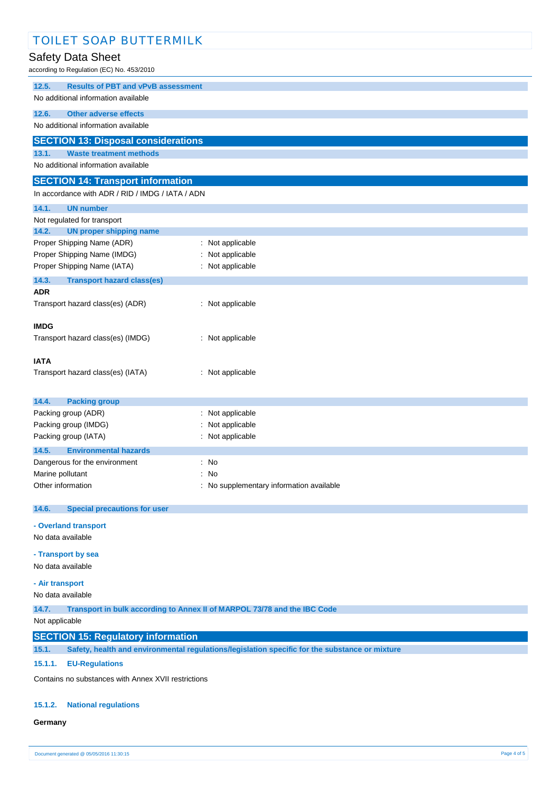| <b>TOILET SOAP BUTTERMILK</b>                                                                           |                                                                          |  |
|---------------------------------------------------------------------------------------------------------|--------------------------------------------------------------------------|--|
| Safety Data Sheet                                                                                       |                                                                          |  |
| according to Regulation (EC) No. 453/2010                                                               |                                                                          |  |
| <b>Results of PBT and vPvB assessment</b><br>12.5.                                                      |                                                                          |  |
| No additional information available                                                                     |                                                                          |  |
| 12.6.<br><b>Other adverse effects</b>                                                                   |                                                                          |  |
| No additional information available                                                                     |                                                                          |  |
| <b>SECTION 13: Disposal considerations</b>                                                              |                                                                          |  |
| 13.1.<br><b>Waste treatment methods</b>                                                                 |                                                                          |  |
| No additional information available                                                                     |                                                                          |  |
| <b>SECTION 14: Transport information</b>                                                                |                                                                          |  |
| In accordance with ADR / RID / IMDG / IATA / ADN                                                        |                                                                          |  |
| 14.1.<br><b>UN number</b>                                                                               |                                                                          |  |
| Not regulated for transport<br>14.2.<br><b>UN proper shipping name</b>                                  |                                                                          |  |
| Proper Shipping Name (ADR)                                                                              | : Not applicable                                                         |  |
| Proper Shipping Name (IMDG)                                                                             | Not applicable                                                           |  |
| Proper Shipping Name (IATA)                                                                             | : Not applicable                                                         |  |
| 14.3.<br><b>Transport hazard class(es)</b>                                                              |                                                                          |  |
| <b>ADR</b>                                                                                              |                                                                          |  |
| Transport hazard class(es) (ADR)                                                                        | : Not applicable                                                         |  |
| <b>IMDG</b>                                                                                             |                                                                          |  |
| Transport hazard class(es) (IMDG)                                                                       | : Not applicable                                                         |  |
|                                                                                                         |                                                                          |  |
| <b>IATA</b><br>Transport hazard class(es) (IATA)                                                        | : Not applicable                                                         |  |
|                                                                                                         |                                                                          |  |
| 14.4.<br><b>Packing group</b>                                                                           |                                                                          |  |
| Packing group (ADR)                                                                                     | : Not applicable                                                         |  |
| Packing group (IMDG)                                                                                    | Not applicable                                                           |  |
| Packing group (IATA)                                                                                    | : Not applicable                                                         |  |
| <b>Environmental hazards</b><br>14.5.                                                                   |                                                                          |  |
| Dangerous for the environment<br>Marine pollutant                                                       | : No<br>: No                                                             |  |
| Other information                                                                                       | : No supplementary information available                                 |  |
|                                                                                                         |                                                                          |  |
| 14.6.<br><b>Special precautions for user</b>                                                            |                                                                          |  |
| - Overland transport                                                                                    |                                                                          |  |
| No data available                                                                                       |                                                                          |  |
| - Transport by sea                                                                                      |                                                                          |  |
| No data available                                                                                       |                                                                          |  |
| - Air transport                                                                                         |                                                                          |  |
| No data available                                                                                       |                                                                          |  |
| 14.7.                                                                                                   | Transport in bulk according to Annex II of MARPOL 73/78 and the IBC Code |  |
| Not applicable                                                                                          |                                                                          |  |
| <b>SECTION 15: Regulatory information</b>                                                               |                                                                          |  |
| Safety, health and environmental regulations/legislation specific for the substance or mixture<br>15.1. |                                                                          |  |
| 15.1.1.<br><b>EU-Regulations</b>                                                                        |                                                                          |  |
| Contains no substances with Annex XVII restrictions                                                     |                                                                          |  |

#### **15.1.2. National regulations**

#### **Germany**